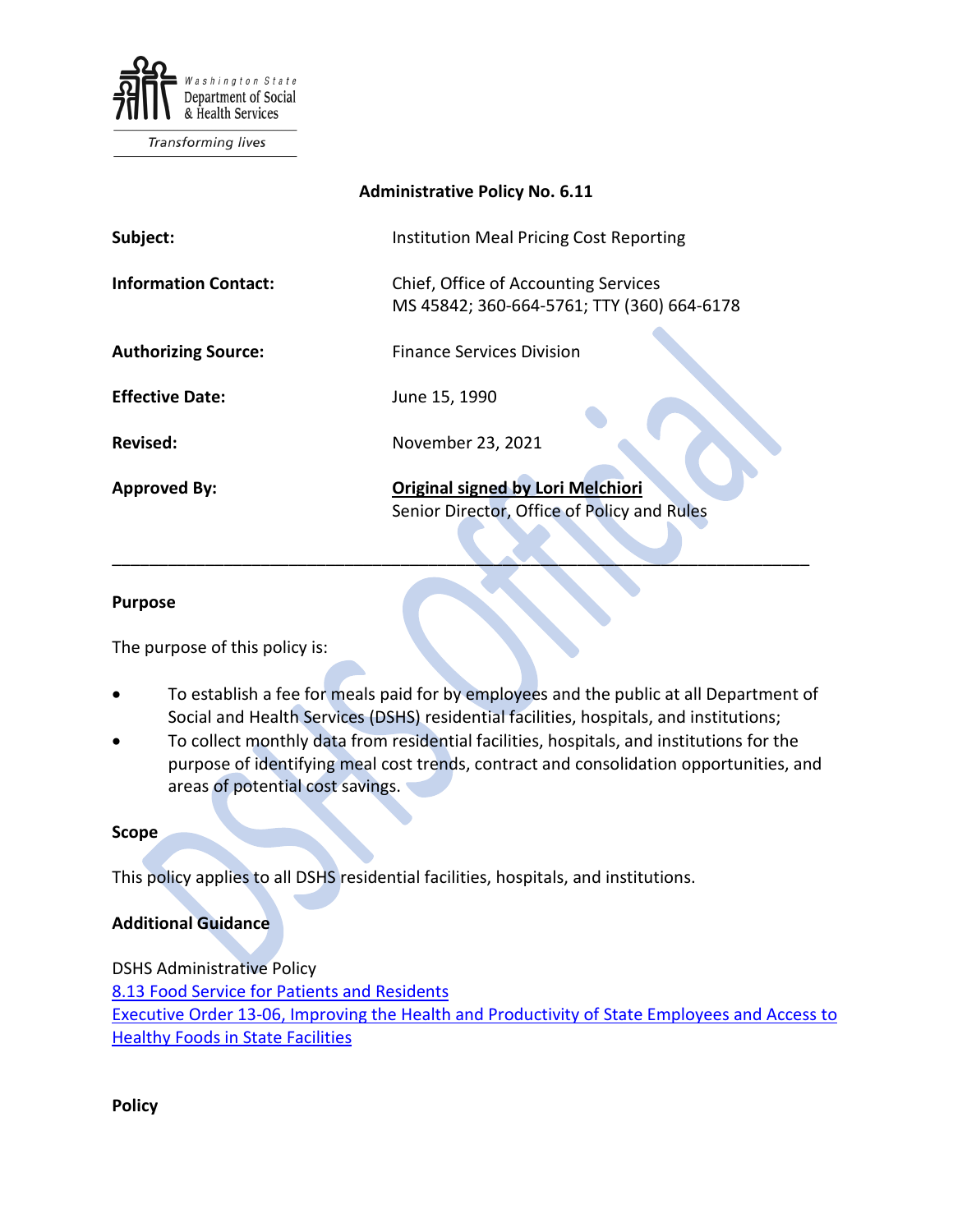

Transforming lives

| <b>Administrative Policy No. 6.11</b> |                                                                                         |
|---------------------------------------|-----------------------------------------------------------------------------------------|
| Subject:                              | Institution Meal Pricing Cost Reporting                                                 |
| <b>Information Contact:</b>           | Chief, Office of Accounting Services<br>MS 45842; 360-664-5761; TTY (360) 664-6178      |
| <b>Authorizing Source:</b>            | <b>Finance Services Division</b>                                                        |
| <b>Effective Date:</b>                | June 15, 1990                                                                           |
| Revised:                              | November 23, 2021                                                                       |
| <b>Approved By:</b>                   | <b>Original signed by Lori Melchiori</b><br>Senior Director, Office of Policy and Rules |

## **Purpose**

The purpose of this policy is:

To establish a fee for meals paid for by employees and the public at all Department of Social and Health Services (DSHS) residential facilities, hospitals, and institutions;

\_\_\_\_\_\_\_\_\_\_\_\_\_\_\_\_\_\_\_\_\_\_\_\_\_\_\_\_\_\_\_\_\_\_\_\_\_\_\_\_\_\_\_\_\_\_\_\_\_\_\_\_\_\_\_\_\_\_\_\_\_\_\_\_\_\_\_\_\_\_\_\_\_\_\_

• To collect monthly data from residential facilities, hospitals, and institutions for the purpose of identifying meal cost trends, contract and consolidation opportunities, and areas of potential cost savings.

## **Scope**

This policy applies to all DSHS residential facilities, hospitals, and institutions.

## **Additional Guidance**

DSHS Administrative Policy [8.13](http://one.dshs.wa.lcl/Policies/Administrative/DSHS-AP-08-13.pdf) Food Service for Patients and Residents [Executive Order 13-06,](https://www.governor.wa.gov/sites/default/files/exe_order/eo_13-06.pdf) Improving the Health and Productivity of State Employees and Access to Healthy Foods in State Facilities

**Policy**